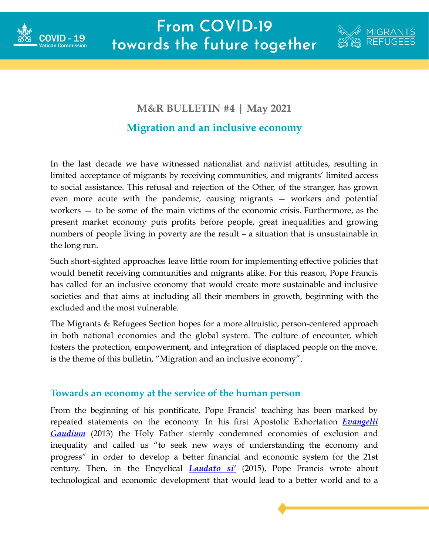



## **M&R BULLETIN #4 | May 2021 Migration and an inclusive economy**

In the last decade we have witnessed nationalist and nativist attitudes, resulting in limited acceptance of migrants by receiving communities, and migrants' limited access to social assistance. This refusal and rejection of the Other, of the stranger, has grown even more acute with the pandemic, causing migrants — workers and potential workers — to be some of the main victims of the economic crisis. Furthermore, as the present market economy puts profits before people, great inequalities and growing numbers of people living in poverty are the result – a situation that is unsustainable in the long run.

Such short-sighted approaches leave little room for implementing effective policies that would benefit receiving communities and migrants alike. For this reason, Pope Francis has called for an inclusive economy that would create more sustainable and inclusive societies and that aims at including all their members in growth, beginning with the excluded and the most vulnerable.

The Migrants & Refugees Section hopes for a more altruistic, person-centered approach in both national economies and the global system. The culture of encounter, which fosters the protection, empowerment, and integration of displaced people on the move, is the theme of this bulletin, "Migration and an inclusive economy".

## **Towards an economy at the service of the human person**

From the beginning of his pontificate, Pope Francis' teaching has been marked by repeated statements on the economy. In his first Apostolic Exhortation *[Evangelii](http://www.vatican.va/content/francesco/en/apost_exhortations/documents/papa-francesco_esortazione-ap_20131124_evangelii-gaudium.html) [Gaudium](http://www.vatican.va/content/francesco/en/apost_exhortations/documents/papa-francesco_esortazione-ap_20131124_evangelii-gaudium.html)* (2013) the Holy Father sternly condemned economies of exclusion and inequality and called us "to seek new ways of understanding the economy and progress" in order to develop a better financial and economic system for the 21st century. Then, in the Encyclical *[Laudato](http://www.vatican.va/content/francesco/en/encyclicals/documents/papa-francesco_20150524_enciclica-laudato-si.html) si'* (2015), Pope Francis wrote about technological and economic development that would lead to a better world and to a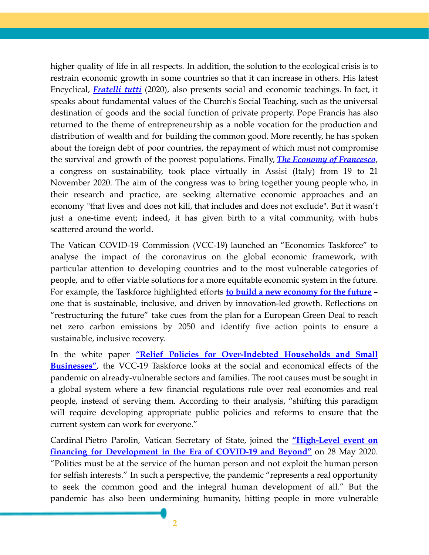higher quality of life in all respects. In addition, the solution to the ecological crisis is to restrain economic growth in some countries so that it can increase in others. His latest Encyclical, *[Fratelli](http://www.vatican.va/content/francesco/en/encyclicals/documents/papa-francesco_20201003_enciclica-fratelli-tutti.html) tutti* (2020), also presents social and economic teachings. In fact, it speaks about fundamental values of the Church's Social Teaching, such as the universal destination of goods and the social function of private property. Pope Francis has also returned to the theme of entrepreneurship as a noble vocation for the production and distribution of wealth and for building the common good. More recently, he has spoken about the foreign debt of poor countries, the repayment of which must not compromise the survival and growth of the poorest populations. Finally, *The Economy of [Francesco](https://francescoeconomy.org/)*, a congress on sustainability, took place virtually in Assisi (Italy) from 19 to 21 November 2020. The aim of the congress was to bring together young people who, in their research and practice, are seeking alternative economic approaches and an economy "that lives and does not kill, that includes and does not exclude". But it wasn't just a one-time event; indeed, it has given birth to a vital community, with hubs scattered around the world.

The Vatican COVID-19 Commission (VCC-19) launched an "Economics Taskforce" to analyse the impact of the coronavirus on the global economic framework, with particular attention to developing countries and to the most vulnerable categories of people, and to offer viable solutions for a more equitable economic system in the future. For example, the Taskforce highlighted efforts **to build a new [economy](https://www.humandevelopment.va/content/dam/sviluppoumano/vatican-covid19-response/doc-newsletter/economics/book/COVIDComm-Wk5-economy-EU-green-deal.pdf) for the future** – one that is sustainable, inclusive, and driven by innovation-led growth. Reflections on "restructuring the future" take cues from the plan for a European Green Deal to reach net zero carbon emissions by 2050 and identify five action points to ensure a sustainable, inclusive recovery.

In the white paper **"Relief Policies for [Over-Indebted](https://www.humandevelopment.va/content/dam/sviluppoumano/vatican-covid19-response/doc-newsletter/economics/book/c-COVIDCommDebtFINAL2021.pdf) Households and Small [Businesses"](https://www.humandevelopment.va/content/dam/sviluppoumano/vatican-covid19-response/doc-newsletter/economics/book/c-COVIDCommDebtFINAL2021.pdf)**, the VCC-19 Taskforce looks at the social and economical effects of the pandemic on already-vulnerable sectors and families. The root causes must be sought in a global system where a few financial regulations rule over real economies and real people, instead of serving them. According to their analysis, "shifting this paradigm will require developing appropriate public policies and reforms to ensure that the current system can work for everyone."

Cardinal Pietro Parolin, Vatican Secretary of State, joined the **["High-Level](https://drive.google.com/file/d/1eEC9Yk8V_lcL6pErLds3XX-v0ciG1KBW/view?usp=sharing) event on financing for [Development](https://drive.google.com/file/d/1eEC9Yk8V_lcL6pErLds3XX-v0ciG1KBW/view?usp=sharing) in the Era of COVID-19 and Beyond"** on 28 May 2020. "Politics must be at the service of the human person and not exploit the human person for selfish interests." In such a perspective, the pandemic "represents a real opportunity to seek the common good and the integral human development of all." But the pandemic has also been undermining humanity, hitting people in more vulnerable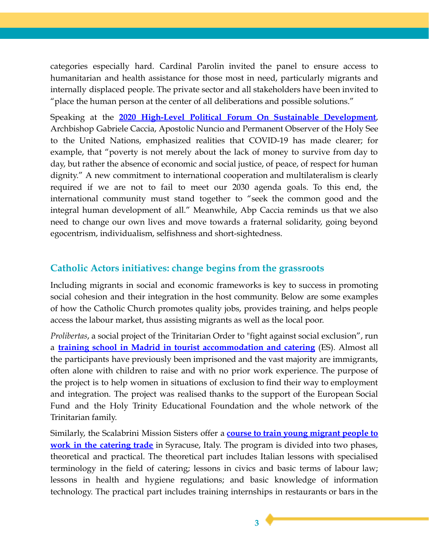categories especially hard. Cardinal Parolin invited the panel to ensure access to humanitarian and health assistance for those most in need, particularly migrants and internally displaced people. The private sector and all stakeholders have been invited to "place the human person at the center of all deliberations and possible solutions."

Speaking at the **2020 High-Level Political Forum On Sustainable [Development](https://holyseemission.org/contents/statements/5f492013edcb2.php)**, Archbishop Gabriele Caccia, Apostolic Nuncio and Permanent Observer of the Holy See to the United Nations, emphasized realities that COVID-19 has made clearer; for example, that "poverty is not merely about the lack of money to survive from day to day, but rather the absence of economic and social justice, of peace, of respect for human dignity." A new commitment to international cooperation and multilateralism is clearly required if we are not to fail to meet our 2030 agenda goals. To this end, the international community must stand together to "seek the common good and the integral human development of all." Meanwhile, Abp Caccia reminds us that we also need to change our own lives and move towards a fraternal solidarity, going beyond egocentrism, individualism, selfishness and short-sightedness.

## **Catholic Actors initiatives: change begins from the grassroots**

Including migrants in social and economic frameworks is key to success in promoting social cohesion and their integration in the host community. Below are some examples of how the Catholic Church promotes quality jobs, provides training, and helps people access the labour market, thus assisting migrants as well as the local poor.

*Prolibertas*, a social project of the Trinitarian Order to "fight against social exclusion", run a **training school in Madrid in tourist [accommodation](https://www.vidanuevadigital.com/2021/04/03/presas-inmigrantes-y-sobradamente-preparadas/) and catering** (ES). Almost all the participants have previously been imprisoned and the vast majority are immigrants, often alone with children to raise and with no prior work experience. The purpose of the project is to help women in situations of exclusion to find their way to employment and integration. The project was realised thanks to the support of the European Social Fund and the Holy Trinity Educational Foundation and the whole network of the Trinitarian family.

Similarly, the Scalabrini Mission Sisters offer a **course to train young [migrant](http://www.fides.org/en/news/69389-EUROPE_ITALY_Young_migrants_study_to_become_room_assistant) people to work in the [catering](http://www.fides.org/en/news/69389-EUROPE_ITALY_Young_migrants_study_to_become_room_assistant) trade** in Syracuse, Italy. The program is divided into two phases, theoretical and practical. The theoretical part includes Italian lessons with specialised terminology in the field of catering; lessons in civics and basic terms of labour law; lessons in health and hygiene regulations; and basic knowledge of information technology. The practical part includes training internships in restaurants or bars in the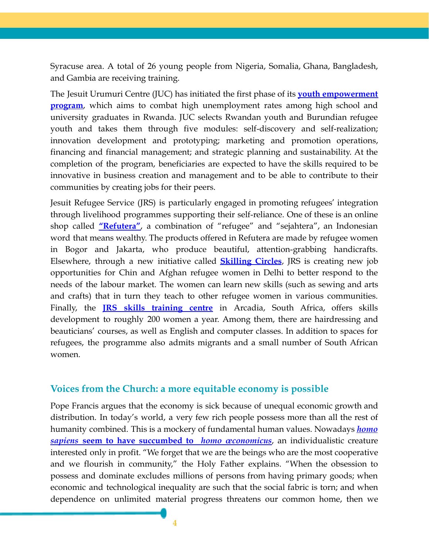Syracuse area. A total of 26 young people from Nigeria, Somalia, Ghana, Bangladesh, and Gambia are receiving training.

The Jesuit Urumuri Centre (JUC) has initiated the first phase of its **youth [empowerment](https://www.juc-rwb.org/juc-celebrates-the-youth-empowerment-program-class-of-20/) [program](https://www.juc-rwb.org/juc-celebrates-the-youth-empowerment-program-class-of-20/)**, which aims to combat high unemployment rates among high school and university graduates in Rwanda. JUC selects Rwandan youth and Burundian refugee youth and takes them through five modules: self-discovery and self-realization; innovation development and prototyping; marketing and promotion operations, financing and financial management; and strategic planning and sustainability. At the completion of the program, beneficiaries are expected to have the skills required to be innovative in business creation and management and to be able to contribute to their communities by creating jobs for their peers.

Jesuit Refugee Service (JRS) is particularly engaged in promoting refugees' integration through livelihood programmes supporting their self-reliance. One of these is an online shop called **["Refutera"](https://jcapsj.org/blog/2021/03/21/an-online-business-made-by-refugees/)**, a combination of "refugee" and "sejahtera", an Indonesian word that means wealthy. The products offered in Refutera are made by refugee women in Bogor and Jakarta, who produce beautiful, attention-grabbing handicrafts. Elsewhere, through a new initiative called **[Skilling](https://jrs.net/en/story/india-skilling-circles-investing-in-womens-livelihoods/?utm_source=linkedin&utm_medium=social&utm_term=&utm_content=&utm_campaign=permanent) Circles**, JRS is creating new job opportunities for Chin and Afghan refugee women in Delhi to better respond to the needs of the labour market. The women can learn new skills (such as sewing and arts and crafts) that in turn they teach to other refugee women in various communities. Finally, the **JRS skills [training](https://jrs.net/en/story/south-africa-teaching-hair-and-beauty-courses-to-refugees/) centre** in Arcadia, South Africa, offers skills development to roughly 200 women a year. Among them, there are hairdressing and beauticians' courses, as well as English and computer classes. In addition to spaces for refugees, the programme also admits migrants and a small number of South African women.

## **Voices from the Church: a more equitable economy is possible**

Pope Francis argues that the economy is sick because of unequal economic growth and distribution. In today's world, a very few rich people possess more than all the rest of humanity combined. This is a mockery of fundamental human values. Nowadays *[homo](https://www.humandevelopment.va/en/news/2020/the-universal-destination-of-goods-and-the-virtue-of-hope.html) sapiens* **seem to have succumbed to** *homo [œconomicus](https://www.humandevelopment.va/en/news/2020/the-universal-destination-of-goods-and-the-virtue-of-hope.html)*, an individualistic creature interested only in profit. "We forget that we are the beings who are the most cooperative and we flourish in community," the Holy Father explains. "When the obsession to possess and dominate excludes millions of persons from having primary goods; when economic and technological inequality are such that the social fabric is torn; and when dependence on unlimited material progress threatens our common home, then we